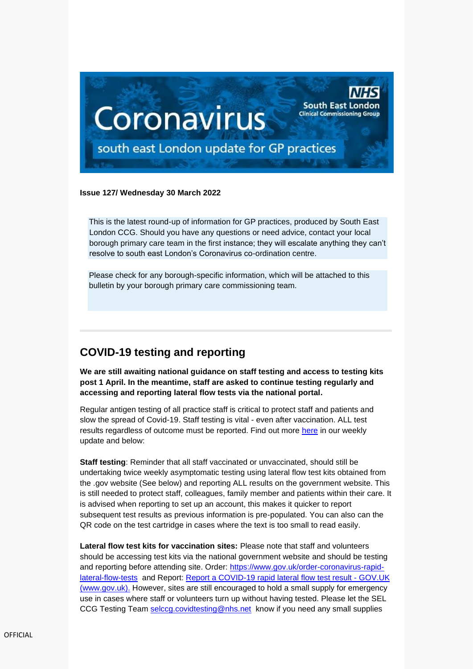

### **Issue 127/ Wednesday 30 March 2022**

This is the latest round-up of information for GP practices, produced by South East London CCG. Should you have any questions or need advice, contact your local borough primary care team in the first instance; they will escalate anything they can't resolve to south east London's Coronavirus co-ordination centre.

Please check for any borough-specific information, which will be attached to this bulletin by your borough primary care commissioning team.

## **COVID-19 testing and reporting**

**We are still awaiting national guidance on staff testing and access to testing kits post 1 April. In the meantime, staff are asked to continue testing regularly and accessing and reporting lateral flow tests via the national portal.**

Regular antigen testing of all practice staff is critical to protect staff and patients and slow the spread of Covid-19. Staff testing is vital - even after vaccination. ALL test results regardless of outcome must be reported. Find out more [here](https://selondonccg.nhs.uk/wp-content/uploads/2022/03/key-messages-for-GP-weekly-bulletin-25-March-2022.pdf) in our weekly update and below:

**Staff testing**: Reminder that all staff vaccinated or unvaccinated, should still be undertaking twice weekly asymptomatic testing using lateral flow test kits obtained from the .gov website (See below) and reporting ALL results on the government website. This is still needed to protect staff, colleagues, family member and patients within their care. It is advised when reporting to set up an account, this makes it quicker to report subsequent test results as previous information is pre-populated. You can also can the QR code on the test cartridge in cases where the text is too small to read easily.

**Lateral flow test kits for vaccination sites:** Please note that staff and volunteers should be accessing test kits via the national government website and should be testing and reporting before attending site. Order: [https://www.gov.uk/order-coronavirus-rapid](https://www.gov.uk/order-coronavirus-rapid-lateral-flow-tests)[lateral-flow-tests](https://www.gov.uk/order-coronavirus-rapid-lateral-flow-tests) and Report: [Report a COVID-19 rapid lateral flow test result -](https://www.gov.uk/report-covid19-result) GOV.UK [\(www.gov.uk\).](https://www.gov.uk/report-covid19-result) However, sites are still encouraged to hold a small supply for emergency use in cases where staff or volunteers turn up without having tested. Please let the SEL CCG Testing Team [selccg.covidtesting@nhs.net](mailto:selccg.covidtesting@nhs.net) know if you need any small supplies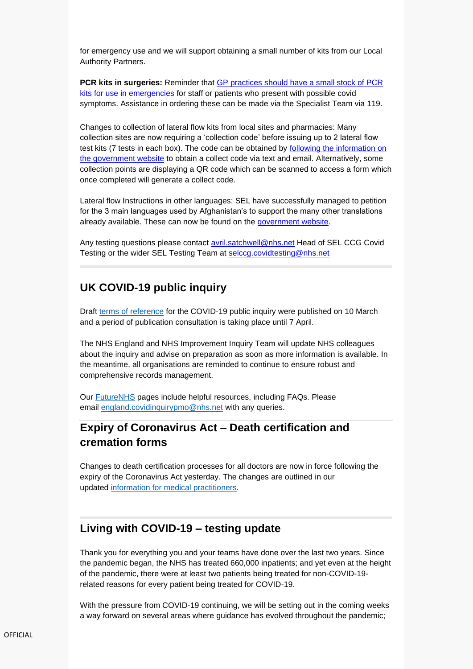for emergency use and we will support obtaining a small number of kits from our Local Authority Partners.

**PCR kits in surgeries:** Reminder that [GP practices should have a small stock of PCR](https://www.gov.uk/government/publications/covid-19-testing-in-general-practice)  [kits for use in emergencies](https://www.gov.uk/government/publications/covid-19-testing-in-general-practice) for staff or patients who present with possible covid symptoms. Assistance in ordering these can be made via the Specialist Team via 119.

Changes to collection of lateral flow kits from local sites and pharmacies: Many collection sites are now requiring a 'collection code' before issuing up to 2 lateral flow test kits (7 tests in each box). The code can be obtained by [following the information on](https://test-for-coronavirus.service.gov.uk/collect-lateral-flow-kits)  [the government website](https://test-for-coronavirus.service.gov.uk/collect-lateral-flow-kits) to obtain a collect code via text and email. Alternatively, some collection points are displaying a QR code which can be scanned to access a form which once completed will generate a collect code.

Lateral flow Instructions in other languages: SEL have successfully managed to petition for the 3 main languages used by Afghanistan's to support the many other translations already available. These can now be found on the [government website.](https://www.gov.uk/guidance/covid-19-self-test-help)

Any testing questions please contact [avril.satchwell@nhs.net](mailto:avril.satchwell@nhs.net) Head of SEL CCG Covid Testing or the wider SEL Testing Team at [selccg.covidtesting@nhs.net](mailto:selccg.covidtesting@nhs.net)

### **UK COVID-19 public inquiry**

Draft terms of [reference](https://healthcareleadersupdate.cmail19.com/t/d-l-flullud-ttjhtjudo-y/) for the COVID-19 public inquiry were published on 10 March and a period of publication consultation is taking place until 7 April.

The NHS England and NHS Improvement Inquiry Team will update NHS colleagues about the inquiry and advise on preparation as soon as more information is available. In the meantime, all organisations are reminded to continue to ensure robust and comprehensive records management.

Our [FutureNHS](https://healthcareleadersupdate.cmail19.com/t/d-l-flullud-ttjhtjudo-j/) pages include helpful resources, including FAQs. Please email [england.covidinquirypmo@nhs.net](mailto:england.CovidInquiryPMO@nhs.net) with any queries.

## **Expiry of Coronavirus Act – Death certification and cremation forms**

Changes to death certification processes for all doctors are now in force following the expiry of the Coronavirus Act yesterday. The changes are outlined in our updated information for medical [practitioners.](https://healthcareleadersupdate.cmail19.com/t/d-l-flullud-ttjhtjudo-t/)

## **Living with COVID-19 – testing update**

Thank you for everything you and your teams have done over the last two years. Since the pandemic began, the NHS has treated 660,000 inpatients; and yet even at the height of the pandemic, there were at least two patients being treated for non-COVID-19 related reasons for every patient being treated for COVID-19.

With the pressure from COVID-19 continuing, we will be setting out in the coming weeks a way forward on several areas where guidance has evolved throughout the pandemic;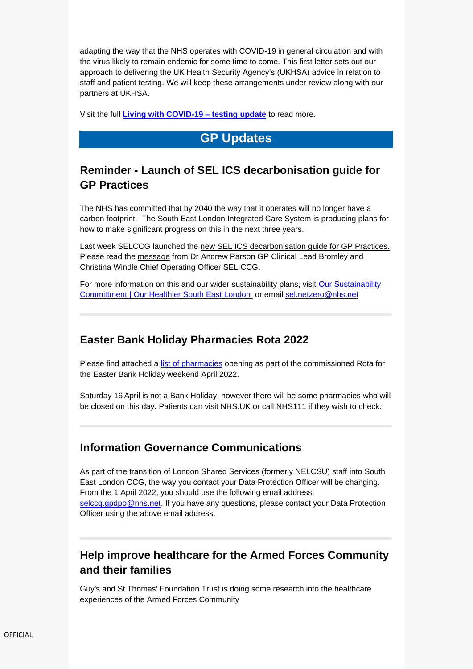adapting the way that the NHS operates with COVID-19 in general circulation and with the virus likely to remain endemic for some time to come. This first letter sets out our approach to delivering the UK Health Security Agency's (UKHSA) advice in relation to staff and patient testing. We will keep these arrangements under review along with our partners at UKHSA.

Visit the full **[Living with COVID-19 –](https://selondonccg.nhs.uk/wp-content/uploads/2022/03/C1621_Living-with-COVID-19-testing-update-letter_300322.pdf) testing update** to read more.

## **GP Updates**

## **Reminder - Launch of SEL ICS decarbonisation guide for GP Practices**

The NHS has committed that by 2040 the way that it operates will no longer have a carbon footprint. The South East London Integrated Care System is producing plans for how to make significant progress on this in the next three years.

Last week SELCCG launched the [new SEL ICS decarbonisation guide for GP Practices.](https://selondonccg.nhs.uk/covid_19/decarbonising-general-practice/) Please read the [message](https://selondonccg.nhs.uk/wp-content/uploads/2022/03/Decarb-guide-2022.pdf) from Dr Andrew Parson GP Clinical Lead Bromley and Christina Windle Chief Operating Officer SEL CCG.

For more information on this and our wider sustainability plans, visit [Our Sustainability](https://www.ourhealthiersel.nhs.uk/about/our-sustainability-committment.htm)  [Committment | Our Healthier South East London](https://www.ourhealthiersel.nhs.uk/about/our-sustainability-committment.htm) or email [sel.netzero@nhs.net](mailto:sel.netzero@nhs.net)

## **Easter Bank Holiday Pharmacies Rota 2022**

Please find attached a [list of pharmacies](https://selondonccg.nhs.uk/wp-content/uploads/2022/04/Easter-2022-Rota-List-Final.pdf) opening as part of the commissioned Rota for the Easter Bank Holiday weekend April 2022.

Saturday 16 April is not a Bank Holiday, however there will be some pharmacies who will be closed on this day. Patients can visit NHS.UK or call NHS111 if they wish to check.

### **Information Governance Communications**

As part of the transition of London Shared Services (formerly NELCSU) staff into South East London CCG, the way you contact your Data Protection Officer will be changing. From the 1 April 2022, you should use the following email address: [selccg.gpdpo@nhs.net.](mailto:selccg.gpdpo@nhs.net) If you have any questions, please contact your Data Protection Officer using the above email address.

## **Help improve healthcare for the Armed Forces Community and their families**

Guy's and St Thomas' Foundation Trust is doing some research into the healthcare experiences of the Armed Forces Community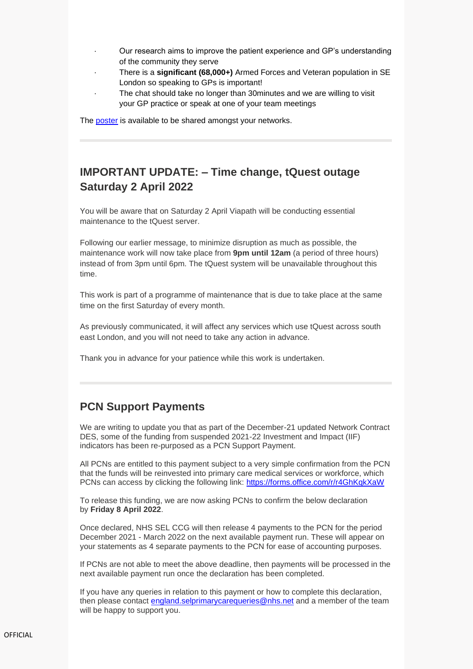- · Our research aims to improve the patient experience and GP's understanding of the community they serve
- · There is a **significant (68,000+)** Armed Forces and Veteran population in SE London so speaking to GPs is important!
- The chat should take no longer than 30 minutes and we are willing to visit your GP practice or speak at one of your team meetings

The **poster** is available to be shared amongst your networks.

# **IMPORTANT UPDATE: – Time change, tQuest outage Saturday 2 April 2022**

You will be aware that on Saturday 2 April Viapath will be conducting essential maintenance to the tQuest server.

Following our earlier message, to minimize disruption as much as possible, the maintenance work will now take place from **9pm until 12am** (a period of three hours) instead of from 3pm until 6pm. The tQuest system will be unavailable throughout this time.

This work is part of a programme of maintenance that is due to take place at the same time on the first Saturday of every month.

As previously communicated, it will affect any services which use tQuest across south east London, and you will not need to take any action in advance.

Thank you in advance for your patience while this work is undertaken.

## **PCN Support Payments**

We are writing to update you that as part of the December-21 updated Network Contract DES, some of the funding from suspended 2021-22 Investment and Impact (IIF) indicators has been re-purposed as a PCN Support Payment.

All PCNs are entitled to this payment subject to a very simple confirmation from the PCN that the funds will be reinvested into primary care medical services or workforce, which PCNs can access by clicking the following link: <https://forms.office.com/r/r4GhKqkXaW>

To release this funding, we are now asking PCNs to confirm the below declaration by **Friday 8 April 2022**.

Once declared, NHS SEL CCG will then release 4 payments to the PCN for the period December 2021 - March 2022 on the next available payment run. These will appear on your statements as 4 separate payments to the PCN for ease of accounting purposes.

If PCNs are not able to meet the above deadline, then payments will be processed in the next available payment run once the declaration has been completed.

If you have any queries in relation to this payment or how to complete this declaration, then please contact [england.selprimarycarequeries@nhs.net](mailto:england.selprimarycarequeries@nhs.net) and a member of the team will be happy to support you.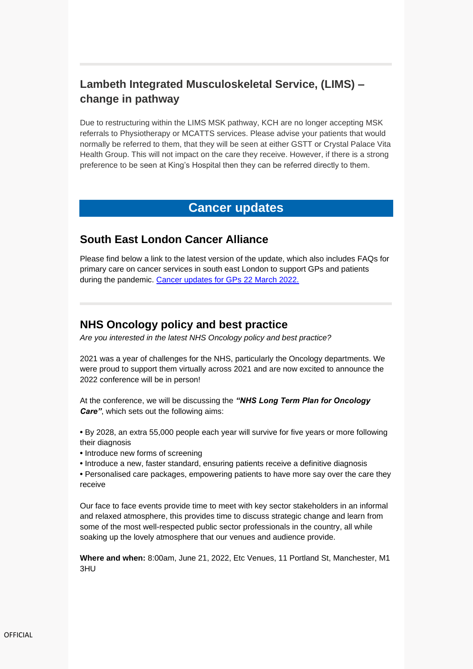# **Lambeth Integrated Musculoskeletal Service, (LIMS) – change in pathway**

Due to restructuring within the LIMS MSK pathway, KCH are no longer accepting MSK referrals to Physiotherapy or MCATTS services. Please advise your patients that would normally be referred to them, that they will be seen at either GSTT or Crystal Palace Vita Health Group. This will not impact on the care they receive. However, if there is a strong preference to be seen at King's Hospital then they can be referred directly to them.

## **Cancer updates**

### **South East London Cancer Alliance**

Please find below a link to the latest version of the update, which also includes FAQs for primary care on cancer services in south east London to support GPs and patients during the pandemic. [Cancer updates for GPs 22](https://selondonccg.nhs.uk/wp-content/uploads/2022/03/SEL-Cancer-Updates-FAQs-for-Primary-Care-23-Mar-2022.pdf) March 2022.

### **NHS Oncology policy and best practice**

*Are you interested in the latest NHS Oncology policy and best practice?*

2021 was a year of challenges for the NHS, particularly the Oncology departments. We were proud to support them virtually across 2021 and are now excited to announce the 2022 conference will be in person!

At the conference, we will be discussing the *"NHS Long Term Plan for Oncology Care"*, which sets out the following aims:

**•** By 2028, an extra 55,000 people each year will survive for five years or more following their diagnosis

- **•** Introduce new forms of screening
- **•** Introduce a new, faster standard, ensuring patients receive a definitive diagnosis
- **•** Personalised care packages, empowering patients to have more say over the care they receive

Our face to face events provide time to meet with key sector stakeholders in an informal and relaxed atmosphere, this provides time to discuss strategic change and learn from some of the most well-respected public sector professionals in the country, all while soaking up the lovely atmosphere that our venues and audience provide.

**Where and when:** 8:00am, June 21, 2022, Etc Venues, 11 Portland St, Manchester, M1 3HU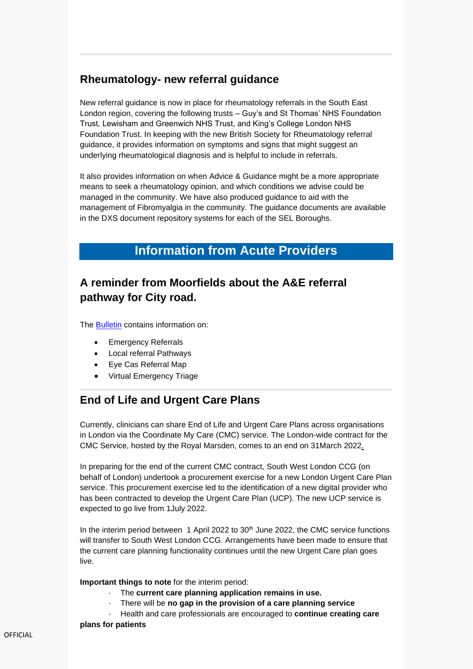## **Rheumatology- new referral guidance**

New referral guidance is now in place for rheumatology referrals in the South East London region, covering the following trusts – Guy's and St Thomas' NHS Foundation Trust, Lewisham and Greenwich NHS Trust, and King's College London NHS Foundation Trust. In keeping with the new British Society for Rheumatology referral guidance, it provides information on symptoms and signs that might suggest an underlying rheumatological diagnosis and is helpful to include in referrals.

It also provides information on when Advice & Guidance might be a more appropriate means to seek a rheumatology opinion, and which conditions we advise could be managed in the community. We have also produced guidance to aid with the management of Fibromyalgia in the community. The guidance documents are available in the DXS document repository systems for each of the SEL Boroughs.

# **Information from Acute Providers**

# **A reminder from Moorfields about the A&E referral pathway for City road.**

The [Bulletin](https://selondonccg.nhs.uk/wp-content/uploads/2022/03/Moorfields-AE-GP-Referral-pathway-info-March-2022.docx) contains information on:

- Emergency Referrals
- Local referral Pathways
- Eye Cas Referral Map
- Virtual Emergency Triage

# **End of Life and Urgent Care Plans**

Currently, clinicians can share End of Life and Urgent Care Plans across organisations in London via the Coordinate My Care (CMC) service. The London-wide contract for the CMC Service, hosted by the Royal Marsden, comes to an end on 31March 2022.

In preparing for the end of the current CMC contract, South West London CCG (on behalf of London) undertook a procurement exercise for a new London Urgent Care Plan service. This procurement exercise led to the identification of a new digital provider who has been contracted to develop the Urgent Care Plan (UCP). The new UCP service is expected to go live from 1July 2022.

In the interim period between 1 April 2022 to 30<sup>th</sup> June 2022, the CMC service functions will transfer to South West London CCG. Arrangements have been made to ensure that the current care planning functionality continues until the new Urgent Care plan goes live.

**Important things to note** for the interim period:

- · The **current care planning application remains in use.**
- · There will be **no gap in the provision of a care planning service**
- · Health and care professionals are encouraged to **continue creating care**

**plans for patients**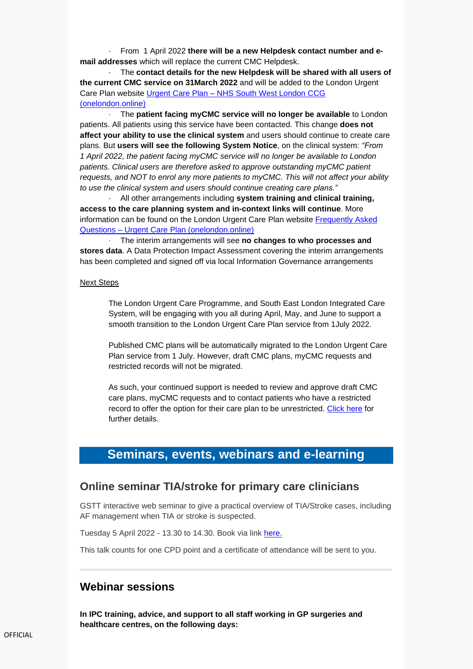· From 1 April 2022 **there will be a new Helpdesk contact number and email addresses** which will replace the current CMC Helpdesk.

· The **contact details for the new Helpdesk will be shared with all users of the current CMC service on 31March 2022** and will be added to the London Urgent Care Plan website Urgent Care Plan – NHS South West [London](https://ucp.onelondon.online/) CCG [\(onelondon.online\)](https://ucp.onelondon.online/)

· The **patient facing myCMC service will no longer be available** to London patients. All patients using this service have been contacted. This change **does not affect your ability to use the clinical system** and users should continue to create care plans. But **users will see the following System Notice**, on the clinical system: *"From 1 April 2022, the patient facing myCMC service will no longer be available to London patients. Clinical users are therefore asked to approve outstanding myCMC patient requests, and NOT to enrol any more patients to myCMC. This will not affect your ability to use the clinical system and users should continue creating care plans."*

· All other arrangements including **system training and clinical training, access to the care planning system and in-context links will continue**. More information can be found on the London Urgent Care Plan website [Frequently](https://ucp.onelondon.online/frequently-asked-questions/) Asked Questions – Urgent Care Plan [\(onelondon.online\)](https://ucp.onelondon.online/frequently-asked-questions/)

· The interim arrangements will see **no changes to who processes and stores data**. A Data Protection Impact Assessment covering the interim arrangements has been completed and signed off via local Information Governance arrangements

#### Next Steps

The London Urgent Care Programme, and South East London Integrated Care System, will be engaging with you all during April, May, and June to support a smooth transition to the London Urgent Care Plan service from 1July 2022.

Published CMC plans will be automatically migrated to the London Urgent Care Plan service from 1 July. However, draft CMC plans, myCMC requests and restricted records will not be migrated.

As such, your continued support is needed to review and approve draft CMC care plans, myCMC requests and to contact patients who have a restricted record to offer the option for their care plan to be unrestricted. [Click](https://www.coordinatemycare.co.uk/downloads/CMC-Urgent-Care-Plan-January-2022-Call-To-Action_1901-for-briefing.pdf) here for further details.

# **Seminars, events, webinars and e-learning**

### **Online seminar TIA/stroke for primary care clinicians**

GSTT interactive web seminar to give a practical overview of TIA/Stroke cases, including AF management when TIA or stroke is suspected.

Tuesday 5 April 2022 - 13.30 to 14.30. Book via link [here.](https://www.eventbrite.co.uk/e/free-web-seminar-tiastroke-for-primary-care-clinicians-tickets-265132236657)

This talk counts for one CPD point and a certificate of attendance will be sent to you.

### **Webinar sessions**

**In IPC training, advice, and support to all staff working in GP surgeries and healthcare centres, on the following days:**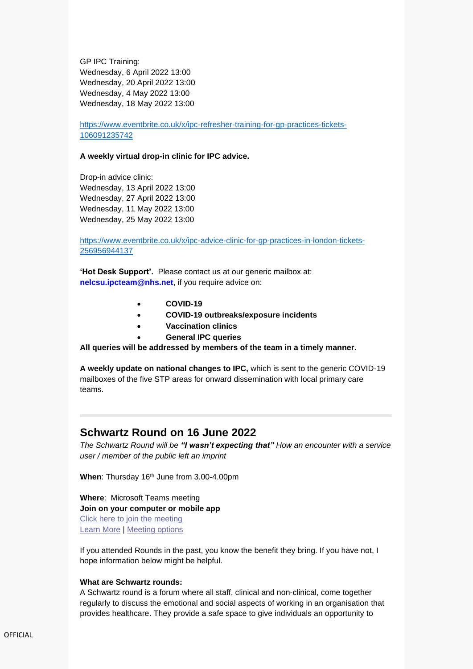GP IPC Training: Wednesday, 6 April 2022 13:00 Wednesday, 20 April 2022 13:00 Wednesday, 4 May 2022 13:00 Wednesday, 18 May 2022 13:00

[https://www.eventbrite.co.uk/x/ipc-refresher-training-for-gp-practices-tickets-](https://www.eventbrite.co.uk/x/ipc-refresher-training-for-gp-practices-tickets-106091235742)[106091235742](https://www.eventbrite.co.uk/x/ipc-refresher-training-for-gp-practices-tickets-106091235742)

#### **A weekly virtual drop-in clinic for IPC advice.**

Drop-in advice clinic: Wednesday, 13 April 2022 13:00 Wednesday, 27 April 2022 13:00 Wednesday, 11 May 2022 13:00 Wednesday, 25 May 2022 13:00

[https://www.eventbrite.co.uk/x/ipc-advice-clinic-for-gp-practices-in-london-tickets-](https://www.eventbrite.co.uk/x/ipc-advice-clinic-for-gp-practices-in-london-tickets-256956944137)[256956944137](https://www.eventbrite.co.uk/x/ipc-advice-clinic-for-gp-practices-in-london-tickets-256956944137)

**'Hot Desk Support'.** Please contact us at our generic mailbox at: **[nelcsu.ipcteam@nhs.net](mailto:nelcsu.ipcteam@nhs.net)**, if you require advice on:

- **COVID-19**
- **COVID-19 outbreaks/exposure incidents**
- **Vaccination clinics**
- **General IPC queries**

**All queries will be addressed by members of the team in a timely manner.**

**A weekly update on national changes to IPC,** which is sent to the generic COVID-19 mailboxes of the five STP areas for onward dissemination with local primary care teams.

### **Schwartz Round on 16 June 2022**

*The Schwartz Round will be "I wasn't expecting that" How an encounter with a service user / member of the public left an imprint*

**When**: Thursday 16th June from 3.00-4.00pm

**Where**: Microsoft Teams meeting **Join on your computer or mobile app** Click here to join the [meeting](https://teams.microsoft.com/l/meetup-join/19%3ameeting_YTNlNzQ5MDgtM2RlNy00YzA3LTg2NTYtNTI5NDkxNzRkOTU2%40thread.v2/0?context=%7b%22Tid%22%3a%2226f994aa-4e42-43e4-848a-f1696c9a6a57%22%2c%22Oid%22%3a%228108c1f5-778a-4e7b-8cb5-3ed3fa610b4e%22%7d) [Learn](https://aka.ms/JoinTeamsMeeting) More | [Meeting](https://teams.microsoft.com/meetingOptions/?organizerId=8108c1f5-778a-4e7b-8cb5-3ed3fa610b4e&tenantId=26f994aa-4e42-43e4-848a-f1696c9a6a57&threadId=19_meeting_YTNlNzQ5MDgtM2RlNy00YzA3LTg2NTYtNTI5NDkxNzRkOTU2@thread.v2&messageId=0&language=en-US) options

If you attended Rounds in the past, you know the benefit they bring. If you have not, I hope information below might be helpful.

#### **What are Schwartz rounds:**

A Schwartz round is a forum where all staff, clinical and non-clinical, come together regularly to discuss the emotional and social aspects of working in an organisation that provides healthcare. They provide a safe space to give individuals an opportunity to